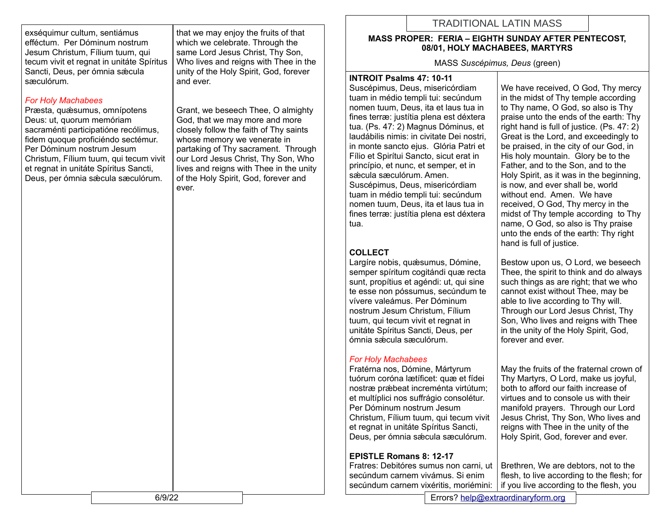exséquimur cultum, sentiámus efféctum. Per Dóminum nostrum Jesum Christum, Fílium tuum, qui tecum vivit et regnat in unitáte Spíritus Sancti, Deus, per ómnia sæcula sæculórum.

#### *For Holy Machabees*

Præsta, quæsumus, omnípotens Deus: ut, quorum memóriam sacraménti participatióne recólimus, fidem quoque proficiéndo sectémur. Per Dóminum nostrum Jesum Christum, Fílium tuum, qui tecum vivit et regnat in unitáte Spíritus Sancti, Deus, per ómnia sǽcula sæculórum.

that we may enjoy the fruits of that which we celebrate. Through the same Lord Jesus Christ, Thy Son, Who lives and reigns with Thee in the unity of the Holy Spirit, God, forever and ever.

Grant, we beseech Thee, O almighty God, that we may more and more closely follow the faith of Thy saints whose memory we venerate in partaking of Thy sacrament. Through our Lord Jesus Christ, Thy Son, Who lives and reigns with Thee in the unity of the Holy Spirit, God, forever and ever.

# TRADITIONAL LATIN MASS

#### **MASS PROPER: FERIA – EIGHTH SUNDAY AFTER PENTECOST, 08/01, HOLY MACHABEES, MARTYRS**

MASS *Suscépimus, Deus* (green)

#### **INTROIT Psalms 47: 10-11**

Suscépimus, Deus, misericórdiam tuam in médio templi tui: secúndum nomen tuum, Deus, ita et laus tua in fines terræ: justítia plena est déxtera tua. (Ps. 47: 2) Magnus Dóminus, et laudábilis nimis: in civitate Dei nostri, in monte sancto ejus. Glória Patri et Fílio et Spirítui Sancto, sicut erat in princípio, et nunc, et semper, et in sǽcula sæculórum. Amen. Suscépimus, Deus, misericórdiam tuam in médio templi tui: secúndum nomen tuum, Deus, ita et laus tua in fines terræ: justítia plena est déxtera tua.

## **COLLECT**

Largíre nobis, quæsumus, Dómine, semper spíritum cogitándi quæ recta sunt, propítius et agéndi: ut, qui sine te esse non póssumus, secúndum te vívere valeámus. Per Dóminum nostrum Jesum Christum, Fílium tuum, qui tecum vivit et regnat in unitáte Spíritus Sancti, Deus, per ómnia sǽcula sæculórum.

## *For Holy Machabees*

Fratérna nos, Dómine, Mártyrum tuórum coróna lætíficet: quæ et fídei nostræ prǽbeat increménta virtútum; et multíplici nos suffrágio consolétur. Per Dóminum nostrum Jesum Christum, Fílium tuum, qui tecum vivit et regnat in unitáte Spíritus Sancti, Deus, per ómnia sǽcula sæculórum.

## **EPISTLE Romans 8: 12-17**

Fratres: Debitóres sumus non carni, ut secúndum carnem vivámus. Si enim secúndum carnem vixéritis, moriémini:

We have received, O God. Thy mercy in the midst of Thy temple according to Thy name, O God, so also is Thy praise unto the ends of the earth: Thy right hand is full of justice. (Ps. 47: 2) Great is the Lord, and exceedingly to be praised, in the city of our God, in His holy mountain. Glory be to the Father, and to the Son, and to the Holy Spirit, as it was in the beginning, is now, and ever shall be, world without end. Amen. We have received, O God, Thy mercy in the midst of Thy temple according to Thy name, O God, so also is Thy praise unto the ends of the earth: Thy right hand is full of justice.

Bestow upon us, O Lord, we beseech Thee, the spirit to think and do always such things as are right; that we who cannot exist without Thee, may be able to live according to Thy will. Through our Lord Jesus Christ, Thy Son, Who lives and reigns with Thee in the unity of the Holy Spirit, God, forever and ever.

May the fruits of the fraternal crown of Thy Martyrs, O Lord, make us joyful, both to afford our faith increase of virtues and to console us with their manifold prayers. Through our Lord Jesus Christ, Thy Son, Who lives and reigns with Thee in the unity of the Holy Spirit, God, forever and ever.

Brethren, We are debtors, not to the flesh, to live according to the flesh; for if you live according to the flesh, you